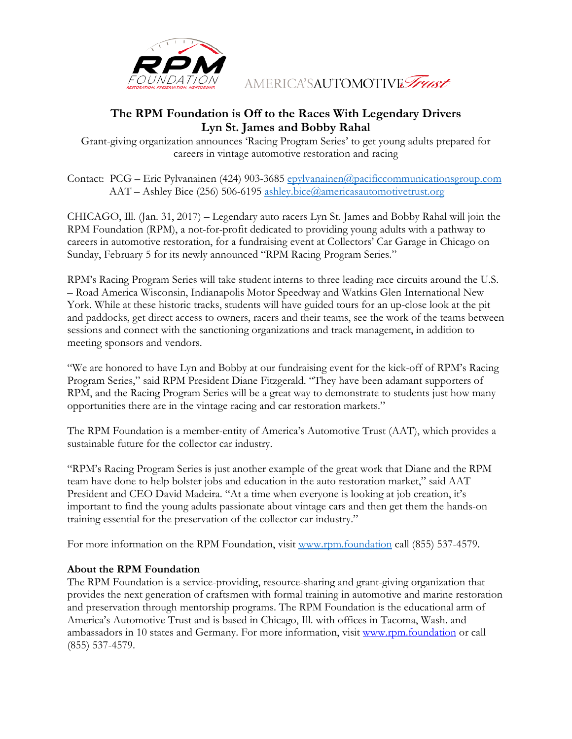

AMERICA'SAUTOMOTIVE Trust

## **The RPM Foundation is Off to the Races With Legendary Drivers Lyn St. James and Bobby Rahal**

Grant-giving organization announces 'Racing Program Series' to get young adults prepared for careers in vintage automotive restoration and racing

Contact: PCG – Eric Pylvanainen (424) 903-3685 [epylvanainen@pacificcommunicationsgroup.com](mailto:epylvanainen@pacificcommunicationsgroup.com) AAT – Ashley Bice (256) 506-6195 [ashley.bice@americasautomotivetrust.org](mailto:ashley.bice@americasautomotivetrust.org)

CHICAGO, Ill. (Jan. 31, 2017) – Legendary auto racers Lyn St. James and Bobby Rahal will join the RPM Foundation (RPM), a not-for-profit dedicated to providing young adults with a pathway to careers in automotive restoration, for a fundraising event at Collectors' Car Garage in Chicago on Sunday, February 5 for its newly announced "RPM Racing Program Series."

RPM's Racing Program Series will take student interns to three leading race circuits around the U.S. – Road America Wisconsin, Indianapolis Motor Speedway and Watkins Glen International New York. While at these historic tracks, students will have guided tours for an up-close look at the pit and paddocks, get direct access to owners, racers and their teams, see the work of the teams between sessions and connect with the sanctioning organizations and track management, in addition to meeting sponsors and vendors.

"We are honored to have Lyn and Bobby at our fundraising event for the kick-off of RPM's Racing Program Series," said RPM President Diane Fitzgerald. "They have been adamant supporters of RPM, and the Racing Program Series will be a great way to demonstrate to students just how many opportunities there are in the vintage racing and car restoration markets."

The RPM Foundation is a member-entity of America's Automotive Trust (AAT), which provides a sustainable future for the collector car industry.

"RPM's Racing Program Series is just another example of the great work that Diane and the RPM team have done to help bolster jobs and education in the auto restoration market," said AAT President and CEO David Madeira. "At a time when everyone is looking at job creation, it's important to find the young adults passionate about vintage cars and then get them the hands-on training essential for the preservation of the collector car industry."

For more information on the RPM Foundation, visit [www.rpm.foundation](http://rpm.foundation/) call (855) 537-4579.

## **About the RPM Foundation**

The RPM Foundation is a service-providing, resource-sharing and grant-giving organization that provides the next generation of craftsmen with formal training in automotive and marine restoration and preservation through mentorship programs. The RPM Foundation is the educational arm of America's Automotive Trust and is based in Chicago, Ill. with offices in Tacoma, Wash. and ambassadors in 10 states and Germany. For more information, visit [www.rpm.foundation](http://www.rpm.foundation/) or call (855) 537-4579.